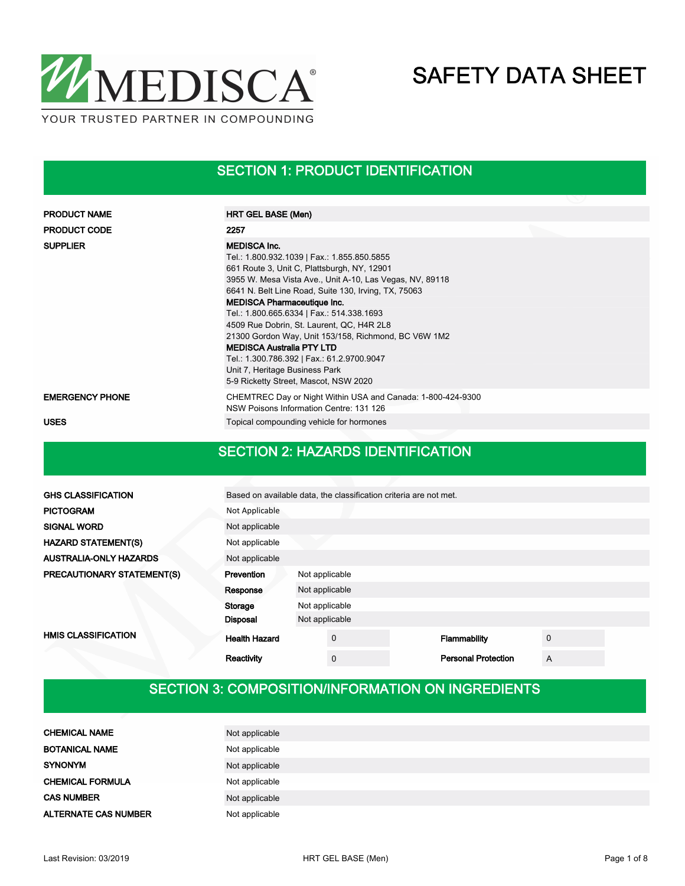

### SECTION 1: PRODUCT IDENTIFICATION

| <b>PRODUCT NAME</b>    | <b>HRT GEL BASE (Men)</b>                                                                                                                                                                                                                                                                                                                                                                                                                                                                                                                                                                  |
|------------------------|--------------------------------------------------------------------------------------------------------------------------------------------------------------------------------------------------------------------------------------------------------------------------------------------------------------------------------------------------------------------------------------------------------------------------------------------------------------------------------------------------------------------------------------------------------------------------------------------|
| <b>PRODUCT CODE</b>    | 2257                                                                                                                                                                                                                                                                                                                                                                                                                                                                                                                                                                                       |
| <b>SUPPLIER</b>        | <b>MEDISCA Inc.</b><br>Tel.: 1.800.932.1039   Fax.: 1.855.850.5855<br>661 Route 3, Unit C, Plattsburgh, NY, 12901<br>3955 W. Mesa Vista Ave., Unit A-10, Las Vegas, NV, 89118<br>6641 N. Belt Line Road, Suite 130, Irving, TX, 75063<br><b>MEDISCA Pharmaceutique Inc.</b><br>Tel.: 1.800.665.6334   Fax.: 514.338.1693<br>4509 Rue Dobrin, St. Laurent, QC, H4R 2L8<br>21300 Gordon Way, Unit 153/158, Richmond, BC V6W 1M2<br><b>MEDISCA Australia PTY LTD</b><br>Tel.: 1.300.786.392   Fax.: 61.2.9700.9047<br>Unit 7, Heritage Business Park<br>5-9 Ricketty Street, Mascot, NSW 2020 |
| <b>EMERGENCY PHONE</b> | CHEMTREC Day or Night Within USA and Canada: 1-800-424-9300<br>NSW Poisons Information Centre: 131 126                                                                                                                                                                                                                                                                                                                                                                                                                                                                                     |
| <b>USES</b>            | Topical compounding vehicle for hormones                                                                                                                                                                                                                                                                                                                                                                                                                                                                                                                                                   |

### SECTION 2: HAZARDS IDENTIFICATION

| <b>GHS CLASSIFICATION</b>     | Based on available data, the classification criteria are not met. |                |             |  |                            |             |  |
|-------------------------------|-------------------------------------------------------------------|----------------|-------------|--|----------------------------|-------------|--|
| <b>PICTOGRAM</b>              | Not Applicable                                                    |                |             |  |                            |             |  |
| <b>SIGNAL WORD</b>            | Not applicable                                                    |                |             |  |                            |             |  |
| <b>HAZARD STATEMENT(S)</b>    | Not applicable                                                    |                |             |  |                            |             |  |
| <b>AUSTRALIA-ONLY HAZARDS</b> | Not applicable                                                    |                |             |  |                            |             |  |
| PRECAUTIONARY STATEMENT(S)    | Prevention                                                        | Not applicable |             |  |                            |             |  |
|                               | Response                                                          | Not applicable |             |  |                            |             |  |
|                               | Storage                                                           | Not applicable |             |  |                            |             |  |
|                               | <b>Disposal</b>                                                   | Not applicable |             |  |                            |             |  |
| <b>HMIS CLASSIFICATION</b>    | <b>Health Hazard</b>                                              |                | $\mathbf 0$ |  | Flammability               | $\mathbf 0$ |  |
|                               | Reactivity                                                        |                | $\mathbf 0$ |  | <b>Personal Protection</b> | A           |  |

## SECTION 3: COMPOSITION/INFORMATION ON INGREDIENTS

| <b>CHEMICAL NAME</b>        | Not applicable |
|-----------------------------|----------------|
| <b>BOTANICAL NAME</b>       | Not applicable |
| <b>SYNONYM</b>              | Not applicable |
| <b>CHEMICAL FORMULA</b>     | Not applicable |
| <b>CAS NUMBER</b>           | Not applicable |
| <b>ALTERNATE CAS NUMBER</b> | Not applicable |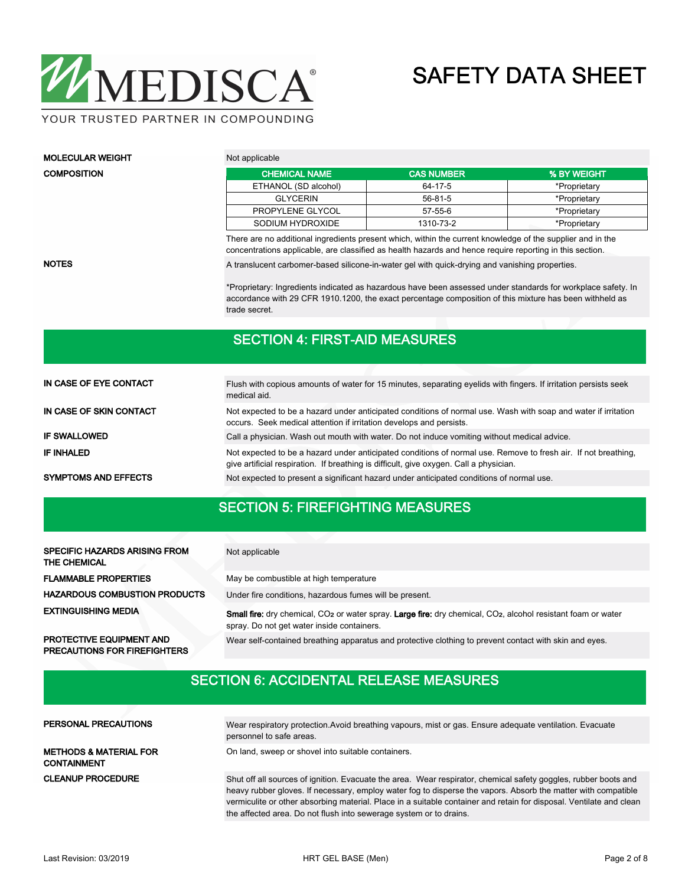

YOUR TRUSTED PARTNER IN COMPOUNDING

### MOLECULAR WEIGHT Not applicable **COMPOSITION**

| <b>CHEMICAL NAME</b> | <b>CAS NUMBER</b> | % BY WEIGHT  |
|----------------------|-------------------|--------------|
| ETHANOL (SD alcohol) | 64-17-5           | *Proprietary |
| <b>GLYCERIN</b>      | 56-81-5           | *Proprietary |
| PROPYLENE GLYCOL     | 57-55-6           | *Proprietary |
| SODIUM HYDROXIDE     | 1310-73-2         | *Proprietary |

There are no additional ingredients present which, within the current knowledge of the supplier and in the concentrations applicable, are classified as health hazards and hence require reporting in this section.

NOTES

A translucent carbomer-based silicone-in-water gel with quick-drying and vanishing properties.

\*Proprietary: Ingredients indicated as hazardous have been assessed under standards for workplace safety. In accordance with 29 CFR 1910.1200, the exact percentage composition of this mixture has been withheld as trade secret.

### SECTION 4: FIRST-AID MEASURES

| IN CASE OF EYE CONTACT      | Flush with copious amounts of water for 15 minutes, separating evelids with fingers. If irritation persists seek<br>medical aid.                                                                         |
|-----------------------------|----------------------------------------------------------------------------------------------------------------------------------------------------------------------------------------------------------|
| IN CASE OF SKIN CONTACT     | Not expected to be a hazard under anticipated conditions of normal use. Wash with soap and water if irritation<br>occurs. Seek medical attention if irritation develops and persists.                    |
| <b>IF SWALLOWED</b>         | Call a physician. Wash out mouth with water. Do not induce vomiting without medical advice.                                                                                                              |
| <b>IF INHALED</b>           | Not expected to be a hazard under anticipated conditions of normal use. Remove to fresh air. If not breathing,<br>give artificial respiration. If breathing is difficult, give oxygen. Call a physician. |
| <b>SYMPTOMS AND EFFECTS</b> | Not expected to present a significant hazard under anticipated conditions of normal use.                                                                                                                 |

### SECTION 5: FIREFIGHTING MEASURES

| <b>SPECIFIC HAZARDS ARISING FROM</b><br>THE CHEMICAL                   | Not applicable                                                                                                                                                                             |
|------------------------------------------------------------------------|--------------------------------------------------------------------------------------------------------------------------------------------------------------------------------------------|
| <b>FLAMMABLE PROPERTIES</b>                                            | May be combustible at high temperature                                                                                                                                                     |
| <b>HAZARDOUS COMBUSTION PRODUCTS</b>                                   | Under fire conditions, hazardous fumes will be present.                                                                                                                                    |
| <b>EXTINGUISHING MEDIA</b>                                             | <b>Small fire:</b> dry chemical, CO <sub>2</sub> or water spray. Large fire: dry chemical, CO <sub>2</sub> , alcohol resistant foam or water<br>spray. Do not get water inside containers. |
| <b>PROTECTIVE EQUIPMENT AND</b><br><b>PRECAUTIONS FOR FIREFIGHTERS</b> | Wear self-contained breathing apparatus and protective clothing to prevent contact with skin and eyes.                                                                                     |

## SECTION 6: ACCIDENTAL RELEASE MEASURES

| <b>PERSONAL PRECAUTIONS</b>                             | Wear respiratory protection. Avoid breathing vapours, mist or gas. Ensure adequate ventilation. Evacuate<br>personnel to safe areas.                                                                                                                                                                                                                                                                                          |
|---------------------------------------------------------|-------------------------------------------------------------------------------------------------------------------------------------------------------------------------------------------------------------------------------------------------------------------------------------------------------------------------------------------------------------------------------------------------------------------------------|
| <b>METHODS &amp; MATERIAL FOR</b><br><b>CONTAINMENT</b> | On land, sweep or shovel into suitable containers.                                                                                                                                                                                                                                                                                                                                                                            |
| <b>CLEANUP PROCEDURE</b>                                | Shut off all sources of ignition. Evacuate the area. Wear respirator, chemical safety goggles, rubber boots and<br>heavy rubber gloves. If necessary, employ water fog to disperse the vapors. Absorb the matter with compatible<br>vermiculite or other absorbing material. Place in a suitable container and retain for disposal. Ventilate and clean<br>the affected area. Do not flush into sewerage system or to drains. |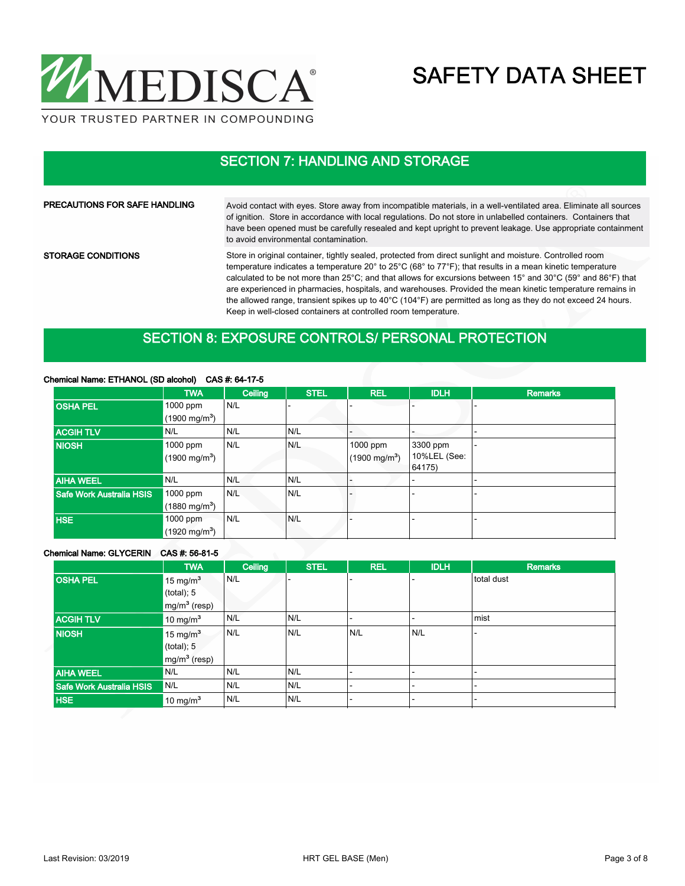

YOUR TRUSTED PARTNER IN COMPOUNDING

### SECTION 7: HANDLING AND STORAGE

| PRECAUTIONS FOR SAFE HANDLING | Avoid contact with eyes. Store away from incompatible materials, in a well-ventilated area. Eliminate all sources<br>of ignition. Store in accordance with local regulations. Do not store in unlabelled containers. Containers that<br>have been opened must be carefully resealed and kept upright to prevent leakage. Use appropriate containment<br>to avoid environmental contamination.                                                                                                                                                                                                                  |  |  |  |  |  |
|-------------------------------|----------------------------------------------------------------------------------------------------------------------------------------------------------------------------------------------------------------------------------------------------------------------------------------------------------------------------------------------------------------------------------------------------------------------------------------------------------------------------------------------------------------------------------------------------------------------------------------------------------------|--|--|--|--|--|
| <b>STORAGE CONDITIONS</b>     | Store in original container, tightly sealed, protected from direct sunlight and moisture. Controlled room<br>temperature indicates a temperature 20 $^{\circ}$ to 25 $^{\circ}$ C (68 $^{\circ}$ to 77 $^{\circ}$ F); that results in a mean kinetic temperature<br>calculated to be not more than 25°C; and that allows for excursions between 15° and 30°C (59° and 86°F) that<br>are experienced in pharmacies, hospitals, and warehouses. Provided the mean kinetic temperature remains in<br>the allowed range, transient spikes up to 40°C (104°F) are permitted as long as they do not exceed 24 hours. |  |  |  |  |  |

### SECTION 8: EXPOSURE CONTROLS/ PERSONAL PROTECTION

Keep in well-closed containers at controlled room temperature.

|                          | <b>TWA</b>              | Ceiling | <b>STEL</b> | <b>REL</b>              | <b>IDLH</b>              | <b>Remarks</b> |
|--------------------------|-------------------------|---------|-------------|-------------------------|--------------------------|----------------|
| <b>OSHA PEL</b>          | 1000 ppm                | N/L     |             |                         |                          |                |
|                          | $(1900 \text{ mg/m}^3)$ |         |             |                         |                          |                |
| <b>ACGIH TLV</b>         | N/L                     | N/L     | N/L         |                         |                          |                |
| <b>NIOSH</b>             | 1000 ppm                | N/L     | N/L         | 1000 ppm                | 3300 ppm                 |                |
|                          | $(1900 \text{ mg/m}^3)$ |         |             | $(1900 \text{ mg/m}^3)$ | 10%LEL (See:             |                |
|                          |                         |         |             |                         | 64175)                   |                |
| <b>AIHA WEEL</b>         | N/L                     | N/L     | N/L         |                         |                          | -              |
| Safe Work Australia HSIS | 1000 ppm                | N/L     | N/L         |                         | -                        |                |
|                          | $(1880 \text{ mg/m}^3)$ |         |             |                         |                          |                |
| <b>HSE</b>               | 1000 ppm                | N/L     | N/L         |                         | $\overline{\phantom{0}}$ |                |
|                          | $(1920 \text{ mg/m}^3)$ |         |             |                         |                          |                |

### Chemical Name: ETHANOL (SD alcohol) CAS #: 64-17-5

### Chemical Name: GLYCERIN CAS #: 56-81-5

|                          | <b>TWA</b>     | Ceiling | <b>STEL</b> | <b>REL</b> | <b>IDLH</b>              | <b>Remarks</b> |
|--------------------------|----------------|---------|-------------|------------|--------------------------|----------------|
| <b>OSHA PEL</b>          | 15 mg/ $m3$    | N/L     |             |            | $\overline{\phantom{0}}$ | total dust     |
|                          | (total); 5     |         |             |            |                          |                |
|                          | $mg/m3$ (resp) |         |             |            |                          |                |
| <b>ACGIH TLV</b>         | 10 mg/ $m3$    | N/L     | N/L         |            |                          | mist           |
| <b>NIOSH</b>             | 15 mg/ $m3$    | N/L     | N/L         | N/L        | N/L                      |                |
|                          | (total); 5     |         |             |            |                          |                |
|                          | $mg/m3$ (resp) |         |             |            |                          |                |
| <b>AIHA WEEL</b>         | N/L            | N/L     | N/L         |            |                          |                |
| Safe Work Australia HSIS | N/L            | N/L     | N/L         |            |                          |                |
| <b>HSE</b>               | 10 mg/ $m3$    | N/L     | N/L         |            | $\sim$                   |                |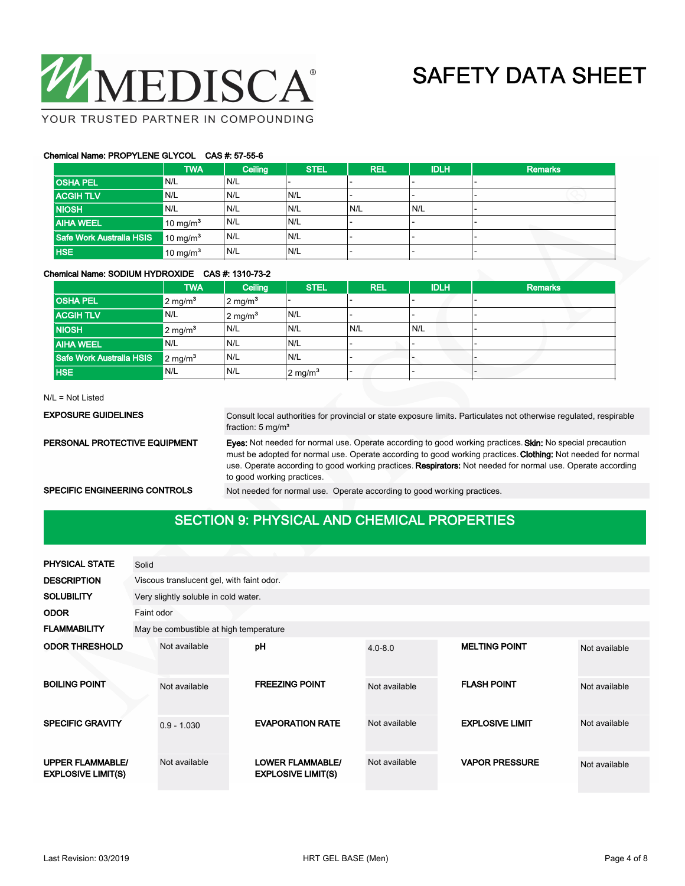

YOUR TRUSTED PARTNER IN COMPOUNDING

#### Chemical Name: PROPYLENE GLYCOL CAS #: 57-55-6

|                          | <b>TWA</b>          | Ceiling | <b>STEL</b> | <b>REL</b> | <b>IDLH</b> | <b>Remarks</b>           |
|--------------------------|---------------------|---------|-------------|------------|-------------|--------------------------|
| <b>OSHA PEL</b>          | N/L                 | N/L     |             |            |             | $\overline{\phantom{0}}$ |
| <b>ACGIH TLV</b>         | N/L                 | N/L     | N/L         |            |             |                          |
| <b>NIOSH</b>             | N/L                 | N/L     | N/L         | N/L        | N/L         |                          |
| <b>AIHA WEEL</b>         | $10 \text{ mg/m}^3$ | N/L     | N/L         |            |             |                          |
| Safe Work Australia HSIS | $10 \text{ mg/m}^3$ | N/L     | N/L         |            |             |                          |
| <b>HSE</b>               | $10 \text{ mg/m}^3$ | N/L     | N/L         |            |             |                          |

#### Chemical Name: SODIUM HYDROXIDE CAS #: 1310-73-2

|                          | <b>TWA</b>         | Ceiling               | <b>STEL</b>        | <b>REL</b> | <b>IDLH</b> | <b>Remarks</b> |
|--------------------------|--------------------|-----------------------|--------------------|------------|-------------|----------------|
| <b>OSHA PEL</b>          | $2 \text{ mg/m}^3$ | $2$ mg/m <sup>3</sup> |                    |            |             |                |
| <b>ACGIHTLV</b>          | N/L                | $2 \text{ mg/m}^3$    | N/L                |            |             |                |
| <b>NIOSH</b>             | $2 \text{ mg/m}^3$ | N/L                   | N/L                | N/L        | N/L         |                |
| <b>AIHA WEEL</b>         | N/L                | N/L                   | N/L                |            |             |                |
| Safe Work Australia HSIS | $2 \text{ mg/m}^3$ | N/L                   | N/L                |            |             |                |
| <b>HSE</b>               | N/L                | N/L                   | $2 \text{ mg/m}^3$ |            |             |                |

N/L = Not Listed

EXPOSURE GUIDELINES

Consult local authorities for provincial or state exposure limits. Particulates not otherwise regulated, respirable fraction: 5 mg/m<sup>3</sup>

PERSONAL PROTECTIVE EQUIPMENT

Eyes: Not needed for normal use. Operate according to good working practices. Skin: No special precaution must be adopted for normal use. Operate according to good working practices. Clothing: Not needed for normal use. Operate according to good working practices. Respirators: Not needed for normal use. Operate according to good working practices.

SPECIFIC ENGINEERING CONTROLS Not needed for normal use. Operate according to good working practices.

### SECTION 9: PHYSICAL AND CHEMICAL PROPERTIES

| <b>PHYSICAL STATE</b>                                | Solid                                     |                                        |                                                      |               |                        |               |  |  |
|------------------------------------------------------|-------------------------------------------|----------------------------------------|------------------------------------------------------|---------------|------------------------|---------------|--|--|
| <b>DESCRIPTION</b>                                   | Viscous translucent gel, with faint odor. |                                        |                                                      |               |                        |               |  |  |
| <b>SOLUBILITY</b>                                    |                                           | Very slightly soluble in cold water.   |                                                      |               |                        |               |  |  |
| <b>ODOR</b>                                          | Faint odor                                |                                        |                                                      |               |                        |               |  |  |
| <b>FLAMMABILITY</b>                                  |                                           | May be combustible at high temperature |                                                      |               |                        |               |  |  |
| <b>ODOR THRESHOLD</b>                                |                                           | Not available                          | pH                                                   | $4.0 - 8.0$   | <b>MELTING POINT</b>   | Not available |  |  |
| <b>BOILING POINT</b>                                 |                                           | Not available                          | <b>FREEZING POINT</b>                                | Not available | <b>FLASH POINT</b>     | Not available |  |  |
| <b>SPECIFIC GRAVITY</b>                              |                                           | $0.9 - 1.030$                          | <b>EVAPORATION RATE</b>                              | Not available | <b>EXPLOSIVE LIMIT</b> | Not available |  |  |
| <b>UPPER FLAMMABLE/</b><br><b>EXPLOSIVE LIMIT(S)</b> |                                           | Not available                          | <b>LOWER FLAMMABLE/</b><br><b>EXPLOSIVE LIMIT(S)</b> | Not available | <b>VAPOR PRESSURE</b>  | Not available |  |  |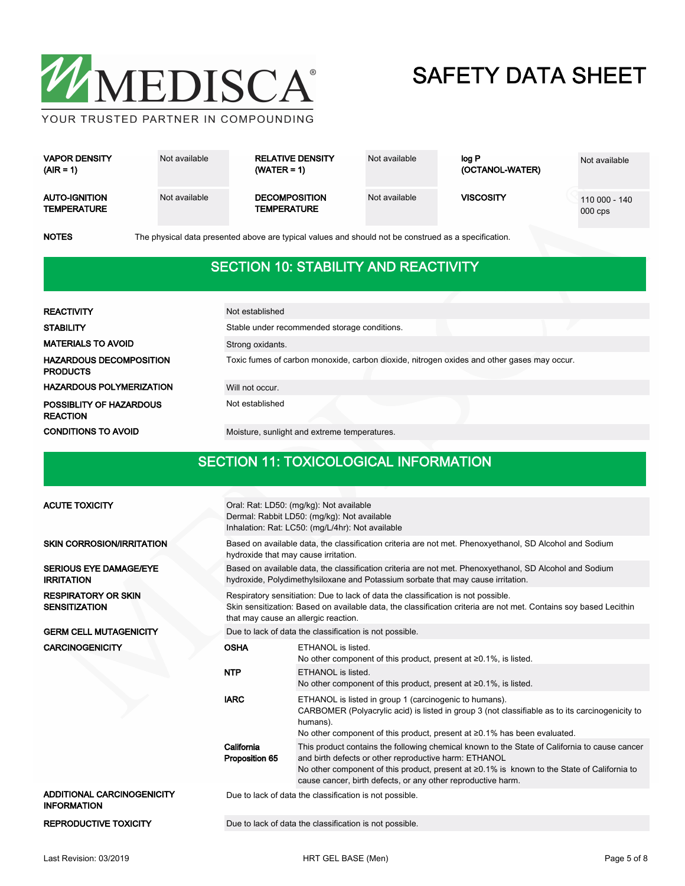

| <b>VAPOR DENSITY</b><br>$(AIR = 1)$        | Not available | <b>RELATIVE DENSITY</b><br>$(WATER = 1)$   | Not available | log P<br>(OCTANOL-WATER) | Not available              |
|--------------------------------------------|---------------|--------------------------------------------|---------------|--------------------------|----------------------------|
| <b>AUTO-IGNITION</b><br><b>TEMPERATURE</b> | Not available | <b>DECOMPOSITION</b><br><b>TEMPERATURE</b> | Not available | <b>VISCOSITY</b>         | 110 000 - 140<br>$000$ cps |

NOTES The physical data presented above are typical values and should not be construed as a specification.

## SECTION 10: STABILITY AND REACTIVITY

| <b>REACTIVITY</b>                                 | Not established                                                                            |
|---------------------------------------------------|--------------------------------------------------------------------------------------------|
| <b>STABILITY</b>                                  | Stable under recommended storage conditions.                                               |
| <b>MATERIALS TO AVOID</b>                         | Strong oxidants.                                                                           |
| <b>HAZARDOUS DECOMPOSITION</b><br><b>PRODUCTS</b> | Toxic fumes of carbon monoxide, carbon dioxide, nitrogen oxides and other gases may occur. |
| <b>HAZARDOUS POLYMERIZATION</b>                   | Will not occur.                                                                            |
| POSSIBLITY OF HAZARDOUS<br><b>REACTION</b>        | Not established                                                                            |
| <b>CONDITIONS TO AVOID</b>                        | Moisture, sunlight and extreme temperatures.                                               |

### SECTION 11: TOXICOLOGICAL INFORMATION

| <b>ACUTE TOXICITY</b>                                                                    | Oral: Rat: LD50: (mg/kg): Not available<br>Dermal: Rabbit LD50: (mg/kg): Not available<br>Inhalation: Rat: LC50: (mg/L/4hr): Not available                                                                                                     |                                                                                                                                                                                                                                                                                                                       |  |  |  |  |
|------------------------------------------------------------------------------------------|------------------------------------------------------------------------------------------------------------------------------------------------------------------------------------------------------------------------------------------------|-----------------------------------------------------------------------------------------------------------------------------------------------------------------------------------------------------------------------------------------------------------------------------------------------------------------------|--|--|--|--|
| <b>SKIN CORROSION/IRRITATION</b>                                                         | Based on available data, the classification criteria are not met. Phenoxyethanol, SD Alcohol and Sodium<br>hydroxide that may cause irritation.                                                                                                |                                                                                                                                                                                                                                                                                                                       |  |  |  |  |
| <b>SERIOUS EYE DAMAGE/EYE</b><br><b>IRRITATION</b>                                       | Based on available data, the classification criteria are not met. Phenoxyethanol, SD Alcohol and Sodium<br>hydroxide, Polydimethylsiloxane and Potassium sorbate that may cause irritation.                                                    |                                                                                                                                                                                                                                                                                                                       |  |  |  |  |
| <b>RESPIRATORY OR SKIN</b><br><b>SENSITIZATION</b>                                       | Respiratory sensitiation: Due to lack of data the classification is not possible.<br>Skin sensitization: Based on available data, the classification criteria are not met. Contains soy based Lecithin<br>that may cause an allergic reaction. |                                                                                                                                                                                                                                                                                                                       |  |  |  |  |
| <b>GERM CELL MUTAGENICITY</b><br>Due to lack of data the classification is not possible. |                                                                                                                                                                                                                                                |                                                                                                                                                                                                                                                                                                                       |  |  |  |  |
| <b>CARCINOGENICITY</b>                                                                   | <b>OSHA</b>                                                                                                                                                                                                                                    | ETHANOL is listed.<br>No other component of this product, present at $\geq 0.1\%$ , is listed.                                                                                                                                                                                                                        |  |  |  |  |
|                                                                                          | <b>NTP</b>                                                                                                                                                                                                                                     | ETHANOL is listed.<br>No other component of this product, present at $\geq 0.1\%$ , is listed.                                                                                                                                                                                                                        |  |  |  |  |
|                                                                                          | <b>IARC</b>                                                                                                                                                                                                                                    | ETHANOL is listed in group 1 (carcinogenic to humans).<br>CARBOMER (Polyacrylic acid) is listed in group 3 (not classifiable as to its carcinogenicity to<br>humans).<br>No other component of this product, present at $\geq 0.1\%$ has been evaluated.                                                              |  |  |  |  |
|                                                                                          | California<br>Proposition 65                                                                                                                                                                                                                   | This product contains the following chemical known to the State of California to cause cancer<br>and birth defects or other reproductive harm: ETHANOL<br>No other component of this product, present at ≥0.1% is known to the State of California to<br>cause cancer, birth defects, or any other reproductive harm. |  |  |  |  |
| ADDITIONAL CARCINOGENICITY<br><b>INFORMATION</b>                                         | Due to lack of data the classification is not possible.                                                                                                                                                                                        |                                                                                                                                                                                                                                                                                                                       |  |  |  |  |
| <b>REPRODUCTIVE TOXICITY</b>                                                             | Due to lack of data the classification is not possible.                                                                                                                                                                                        |                                                                                                                                                                                                                                                                                                                       |  |  |  |  |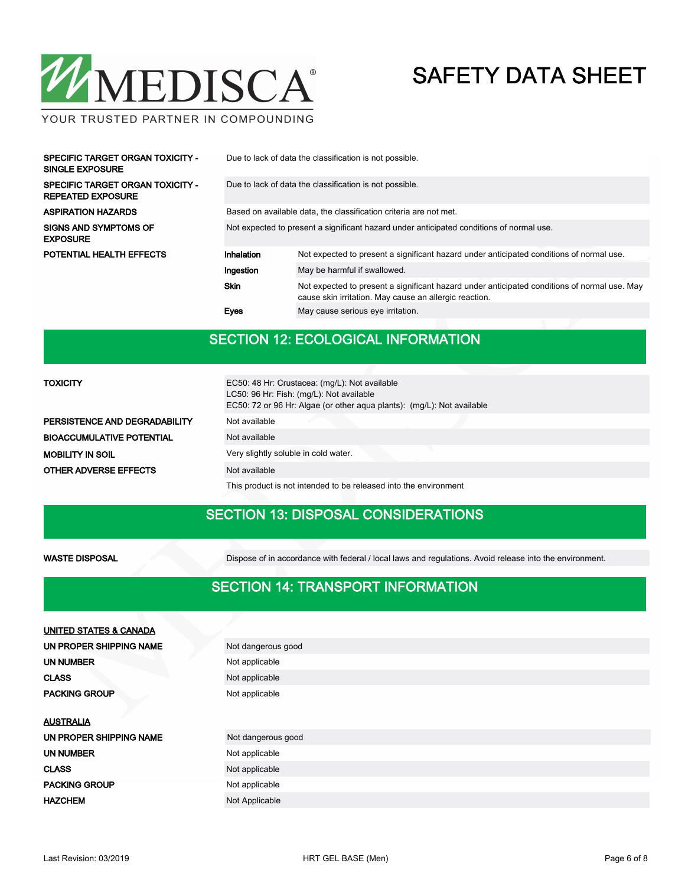

YOUR TRUSTED PARTNER IN COMPOUNDING

| SPECIFIC TARGET ORGAN TOXICITY -<br><b>SINGLE EXPOSURE</b>          | Due to lack of data the classification is not possible.                                  |                                                                                                                                                        |  |  |  |
|---------------------------------------------------------------------|------------------------------------------------------------------------------------------|--------------------------------------------------------------------------------------------------------------------------------------------------------|--|--|--|
| <b>SPECIFIC TARGET ORGAN TOXICITY -</b><br><b>REPEATED EXPOSURE</b> | Due to lack of data the classification is not possible.                                  |                                                                                                                                                        |  |  |  |
| <b>ASPIRATION HAZARDS</b>                                           | Based on available data, the classification criteria are not met.                        |                                                                                                                                                        |  |  |  |
| <b>SIGNS AND SYMPTOMS OF</b><br><b>EXPOSURE</b>                     | Not expected to present a significant hazard under anticipated conditions of normal use. |                                                                                                                                                        |  |  |  |
| POTENTIAL HEALTH EFFECTS                                            | Inhalation                                                                               | Not expected to present a significant hazard under anticipated conditions of normal use.                                                               |  |  |  |
|                                                                     | Ingestion                                                                                | May be harmful if swallowed.                                                                                                                           |  |  |  |
|                                                                     | <b>Skin</b>                                                                              | Not expected to present a significant hazard under anticipated conditions of normal use. May<br>cause skin irritation. May cause an allergic reaction. |  |  |  |
|                                                                     | Eyes                                                                                     | May cause serious eye irritation.                                                                                                                      |  |  |  |

### SECTION 12: ECOLOGICAL INFORMATION

| TOXICITY                      | EC50: 48 Hr: Crustacea: (mg/L): Not available<br>LC50: 96 Hr: Fish: (mg/L): Not available<br>EC50: 72 or 96 Hr: Algae (or other agua plants): (mg/L): Not available |
|-------------------------------|---------------------------------------------------------------------------------------------------------------------------------------------------------------------|
| PERSISTENCE AND DEGRADABILITY | Not available                                                                                                                                                       |
| BIOACCUMULATIVE POTENTIAL     | Not available                                                                                                                                                       |
| MOBILITY IN SOIL              | Very slightly soluble in cold water.                                                                                                                                |
| OTHER ADVERSE EFFECTS         | Not available                                                                                                                                                       |
|                               | This product is not intended to be released into the environment                                                                                                    |

### SECTION 13: DISPOSAL CONSIDERATIONS

WASTE DISPOSAL Dispose of in accordance with federal / local laws and regulations. Avoid release into the environment.

### SECTION 14: TRANSPORT INFORMATION

| UNITED STATES & CANADA  |                    |
|-------------------------|--------------------|
| UN PROPER SHIPPING NAME | Not dangerous good |
| <b>UN NUMBER</b>        | Not applicable     |
| <b>CLASS</b>            | Not applicable     |
| <b>PACKING GROUP</b>    | Not applicable     |
| <b>AUSTRALIA</b>        |                    |
| UN PROPER SHIPPING NAME | Not dangerous good |
| <b>UN NUMBER</b>        | Not applicable     |
| <b>CLASS</b>            | Not applicable     |
| <b>PACKING GROUP</b>    | Not applicable     |
| <b>HAZCHEM</b>          | Not Applicable     |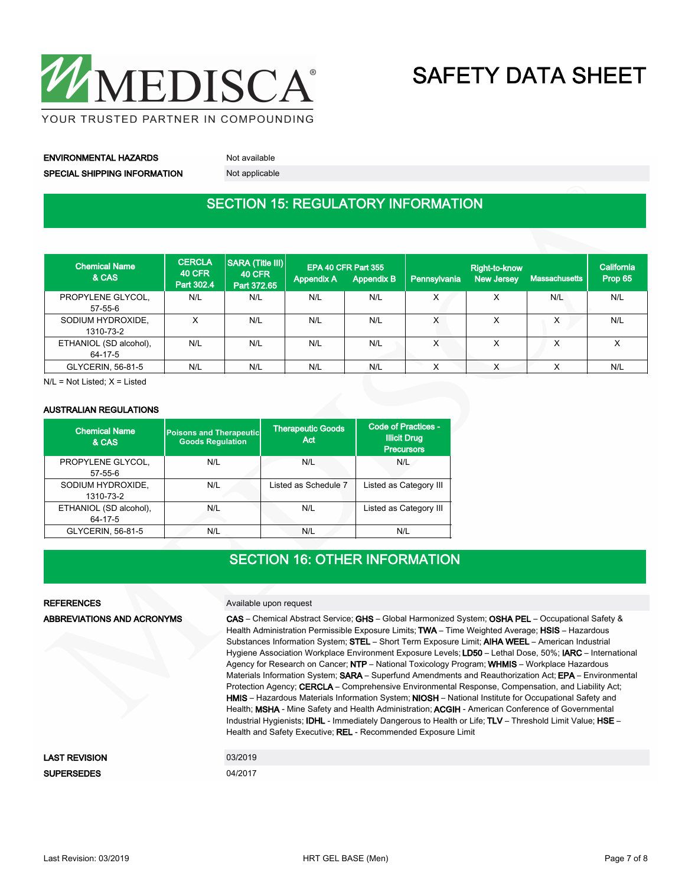

**ENVIRONMENTAL HAZARDS** Not available

SPECIAL SHIPPING INFORMATION Not applicable

### SECTION 15: REGULATORY INFORMATION

| <b>Chemical Name</b><br>& CAS     | <b>CERCLA</b><br><b>40 CFR</b><br>Part 302.4 | SARA (Title III)<br><b>40 CFR</b><br>Part 372.65 | <b>Appendix A</b> | EPA 40 CFR Part 355<br><b>Appendix B</b> | Pennsylvania | Right-to-know<br><b>New Jersey</b> | <b>Massachusetts</b> | California<br>Prop 65 |
|-----------------------------------|----------------------------------------------|--------------------------------------------------|-------------------|------------------------------------------|--------------|------------------------------------|----------------------|-----------------------|
| PROPYLENE GLYCOL,<br>57-55-6      | N/L                                          | N/L                                              | N/L               | N/L                                      | X            | X                                  | N/L                  | N/L                   |
| SODIUM HYDROXIDE,<br>1310-73-2    | X                                            | N/L                                              | N/L               | N/L                                      | X            | x                                  | X                    | N/L                   |
| ETHANIOL (SD alcohol),<br>64-17-5 | N/L                                          | N/L                                              | N/L               | N/L                                      | X            | x                                  | X                    | $\checkmark$<br>∧     |
| GLYCERIN, 56-81-5                 | N/L                                          | N/L                                              | N/L               | N/L                                      | X            | X                                  | X                    | N/L                   |

 $N/L = Not$  Listed;  $X =$  Listed

#### AUSTRALIAN REGULATIONS

| <b>Chemical Name</b><br>& CAS | <b>Poisons and Therapeutic</b><br><b>Goods Requlation</b> | <b>Therapeutic Goods</b><br>Act | Code of Practices -<br><b>Illicit Drug</b><br><b>Precursors</b> |
|-------------------------------|-----------------------------------------------------------|---------------------------------|-----------------------------------------------------------------|
| PROPYLENE GLYCOL,             | N/L                                                       | N/L                             | N/L                                                             |
| $57 - 55 - 6$                 |                                                           |                                 |                                                                 |
| SODIUM HYDROXIDE,             | N/L                                                       | Listed as Schedule 7            | Listed as Category III                                          |
| 1310-73-2                     |                                                           |                                 |                                                                 |
| ETHANIOL (SD alcohol),        | N/L                                                       | N/L                             | Listed as Category III                                          |
| $64 - 17 - 5$                 |                                                           |                                 |                                                                 |
| GLYCERIN, 56-81-5             | N/L                                                       | N/L                             | N/L                                                             |

### SECTION 16: OTHER INFORMATION

ABBREVIATIONS AND ACRONYMS

#### REFERENCES Available upon request

CAS – Chemical Abstract Service; GHS – Global Harmonized System; OSHA PEL – Occupational Safety & Health Administration Permissible Exposure Limits; TWA - Time Weighted Average; HSIS - Hazardous Substances Information System; STEL – Short Term Exposure Limit; AIHA WEEL – American Industrial Hygiene Association Workplace Environment Exposure Levels; LD50 – Lethal Dose, 50%; IARC – International Agency for Research on Cancer; NTP - National Toxicology Program; WHMIS - Workplace Hazardous Materials Information System; SARA – Superfund Amendments and Reauthorization Act; EPA – Environmental Protection Agency; CERCLA – Comprehensive Environmental Response, Compensation, and Liability Act; HMIS - Hazardous Materials Information System; NIOSH - National Institute for Occupational Safety and Health; MSHA - Mine Safety and Health Administration; ACGIH - American Conference of Governmental Industrial Hygienists; IDHL - Immediately Dangerous to Health or Life; TLV - Threshold Limit Value; HSE -Health and Safety Executive; REL - Recommended Exposure Limit

| <b>LAST REVISION</b> | 03/2019 |
|----------------------|---------|
| <b>SUPERSEDES</b>    | 04/2017 |